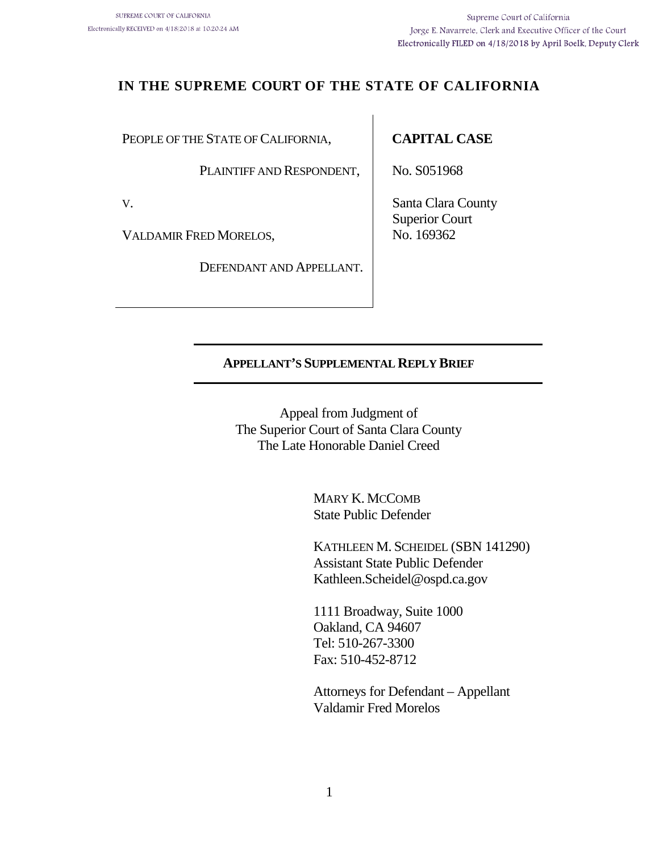# **IN THE SUPREME COURT OF THE STATE OF CALIFORNIA**

PEOPLE OF THE STATE OF CALIFORNIA,

PLAINTIFF AND RESPONDENT,

V.

VALDAMIR FRED MORELOS,

DEFENDANT AND APPELLANT.

### **CAPITAL CASE**

No. S051968

Santa Clara County Superior Court No. 169362

### **APPELLANT'S SUPPLEMENTAL REPLY BRIEF**

Appeal from Judgment of The Superior Court of Santa Clara County The Late Honorable Daniel Creed

> MARY K. MCCOMB State Public Defender

KATHLEEN M. SCHEIDEL (SBN 141290) Assistant State Public Defender Kathleen.Scheidel@ospd.ca.gov

1111 Broadway, Suite 1000 Oakland, CA 94607 Tel: 510-267-3300 Fax: 510-452-8712

Attorneys for Defendant – Appellant Valdamir Fred Morelos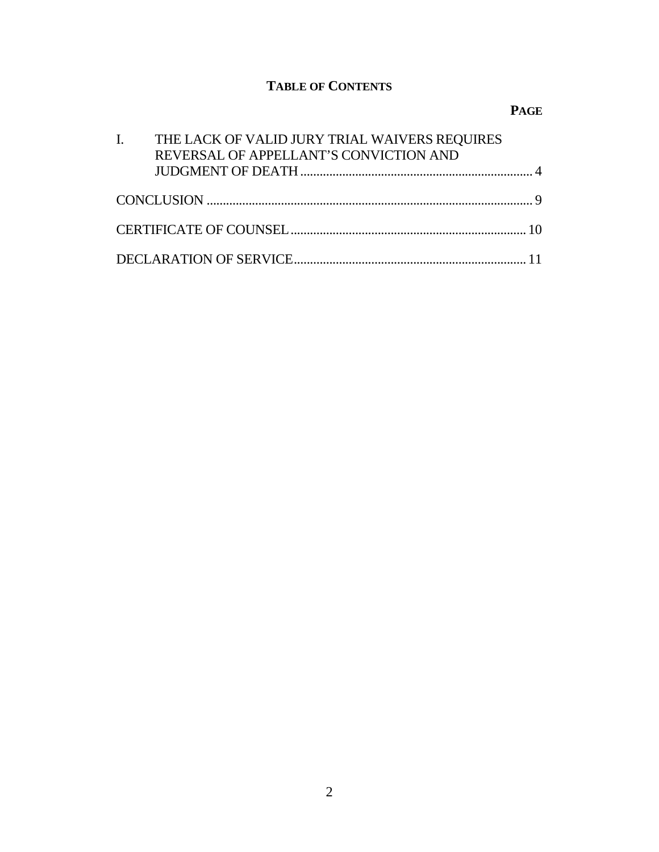# **TABLE OF CONTENTS**

# **PAGE**

| I. THE LACK OF VALID JURY TRIAL WAIVERS REQUIRES<br>REVERSAL OF APPELLANT'S CONVICTION AND |  |
|--------------------------------------------------------------------------------------------|--|
|                                                                                            |  |
|                                                                                            |  |
|                                                                                            |  |
|                                                                                            |  |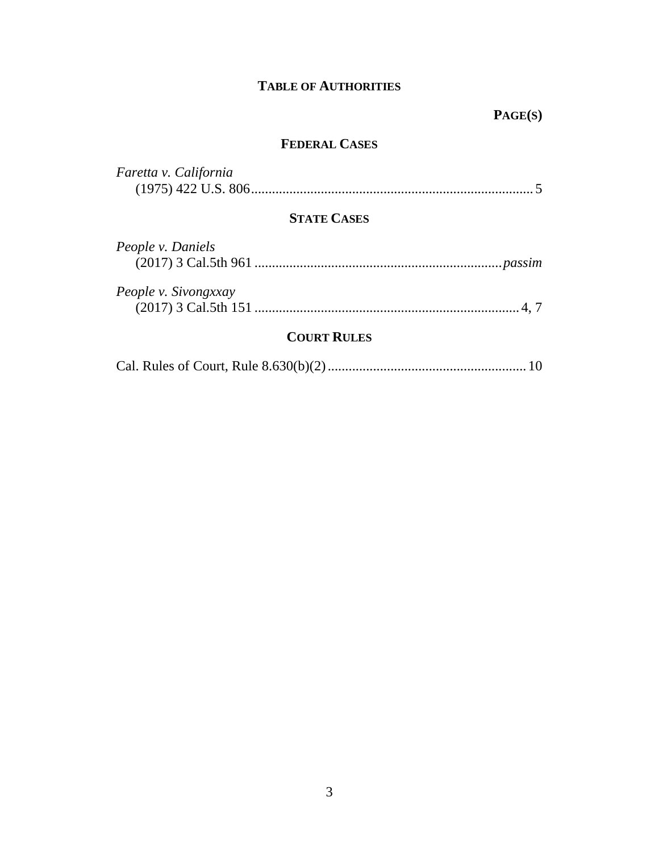### **TABLE OF AUTHORITIES**

# **PAGE(S)**

### **FEDERAL CASES**

| Faretta v. California |  |
|-----------------------|--|
|                       |  |

## **STATE CASES**

| People v. Daniels    |  |
|----------------------|--|
|                      |  |
| People v. Sivongxxay |  |
|                      |  |
|                      |  |

# **COURT RULES**

|--|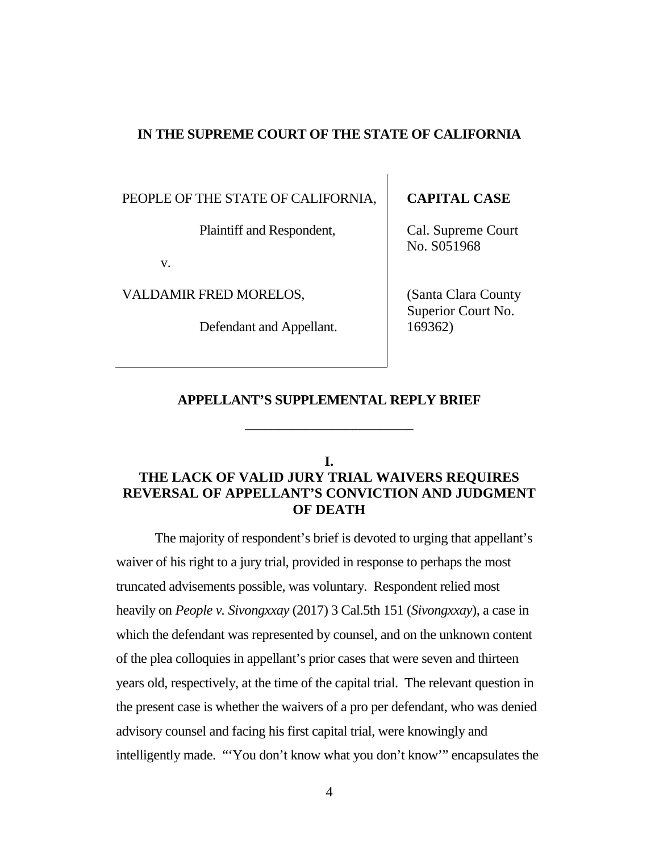#### **IN THE SUPREME COURT OF THE STATE OF CALIFORNIA**

PEOPLE OF THE STATE OF CALIFORNIA,

Plaintiff and Respondent,

v.

VALDAMIR FRED MORELOS,

Defendant and Appellant.

### **CAPITAL CASE**

Cal. Supreme Court No. S051968

(Santa Clara County Superior Court No. 169362)

#### **APPELLANT'S SUPPLEMENTAL REPLY BRIEF**

\_\_\_\_\_\_\_\_\_\_\_\_\_\_\_\_\_\_\_\_\_\_\_\_\_

**I.**

# <span id="page-3-0"></span>**THE LACK OF VALID JURY TRIAL WAIVERS REQUIRES REVERSAL OF APPELLANT'S CONVICTION AND JUDGMENT OF DEATH**

The majority of respondent's brief is devoted to urging that appellant's waiver of his right to a jury trial, provided in response to perhaps the most truncated advisements possible, was voluntary. Respondent relied most heavily on *People v. Sivongxxay* (2017) 3 Cal.5th 151 (*Sivongxxay*), a case in which the defendant was represented by counsel, and on the unknown content of the plea colloquies in appellant's prior cases that were seven and thirteen years old, respectively, at the time of the capital trial. The relevant question in the present case is whether the waivers of a pro per defendant, who was denied advisory counsel and facing his first capital trial, were knowingly and intelligently made. "'You don't know what you don't know'" encapsulates the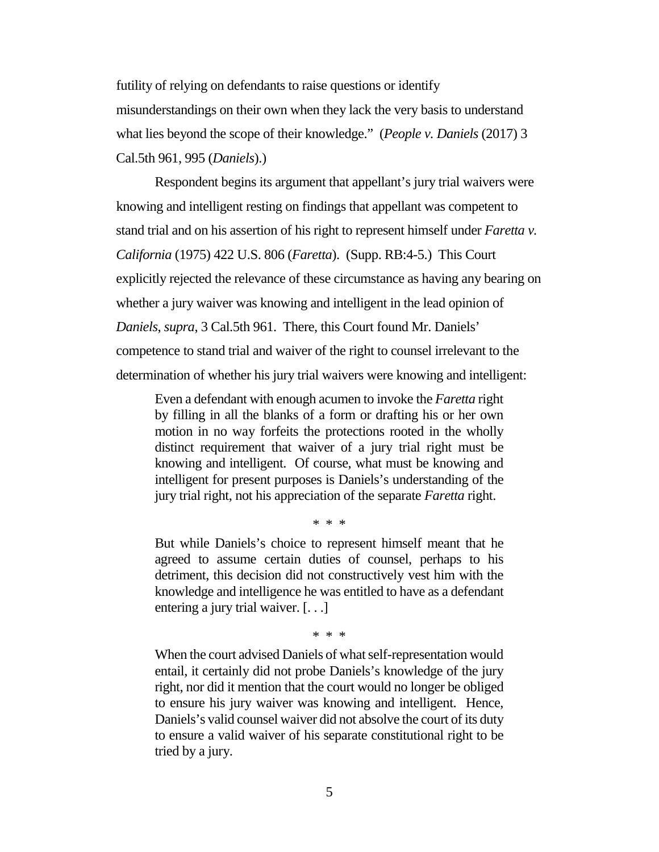futility of relying on defendants to raise questions or identify misunderstandings on their own when they lack the very basis to understand what lies beyond the scope of their knowledge." (*People v. Daniels* (2017) 3 Cal.5th 961, 995 (*Daniels*).)

Respondent begins its argument that appellant's jury trial waivers were knowing and intelligent resting on findings that appellant was competent to stand trial and on his assertion of his right to represent himself under *Faretta v. California* (1975) 422 U.S. 806 (*Faretta*). (Supp. RB:4-5.) This Court explicitly rejected the relevance of these circumstance as having any bearing on whether a jury waiver was knowing and intelligent in the lead opinion of *Daniels*, *supra*, 3 Cal.5th 961. There, this Court found Mr. Daniels' competence to stand trial and waiver of the right to counsel irrelevant to the determination of whether his jury trial waivers were knowing and intelligent:

Even a defendant with enough acumen to invoke the *Faretta* right by filling in all the blanks of a form or drafting his or her own motion in no way forfeits the protections rooted in the wholly distinct requirement that waiver of a jury trial right must be knowing and intelligent. Of course, what must be knowing and intelligent for present purposes is Daniels's understanding of the jury trial right, not his appreciation of the separate *Faretta* right.

\* \* \*

But while Daniels's choice to represent himself meant that he agreed to assume certain duties of counsel, perhaps to his detriment, this decision did not constructively vest him with the knowledge and intelligence he was entitled to have as a defendant entering a jury trial waiver. [. . .]

\* \* \*

When the court advised Daniels of what self-representation would entail, it certainly did not probe Daniels's knowledge of the jury right, nor did it mention that the court would no longer be obliged to ensure his jury waiver was knowing and intelligent. Hence, Daniels's valid counsel waiver did not absolve the court of its duty to ensure a valid waiver of his separate constitutional right to be tried by a jury.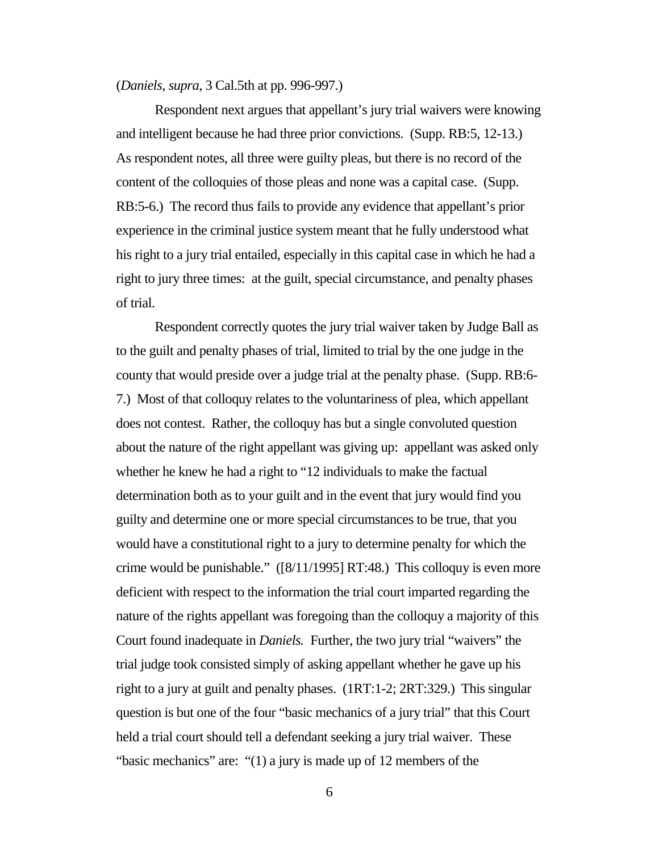#### (*Daniels*, *supra*, 3 Cal.5th at pp. 996-997.)

Respondent next argues that appellant's jury trial waivers were knowing and intelligent because he had three prior convictions. (Supp. RB:5, 12-13.) As respondent notes, all three were guilty pleas, but there is no record of the content of the colloquies of those pleas and none was a capital case. (Supp. RB:5-6.) The record thus fails to provide any evidence that appellant's prior experience in the criminal justice system meant that he fully understood what his right to a jury trial entailed, especially in this capital case in which he had a right to jury three times: at the guilt, special circumstance, and penalty phases of trial.

Respondent correctly quotes the jury trial waiver taken by Judge Ball as to the guilt and penalty phases of trial, limited to trial by the one judge in the county that would preside over a judge trial at the penalty phase. (Supp. RB:6- 7.) Most of that colloquy relates to the voluntariness of plea, which appellant does not contest. Rather, the colloquy has but a single convoluted question about the nature of the right appellant was giving up: appellant was asked only whether he knew he had a right to "12 individuals to make the factual determination both as to your guilt and in the event that jury would find you guilty and determine one or more special circumstances to be true, that you would have a constitutional right to a jury to determine penalty for which the crime would be punishable." ([8/11/1995] RT:48.) This colloquy is even more deficient with respect to the information the trial court imparted regarding the nature of the rights appellant was foregoing than the colloquy a majority of this Court found inadequate in *Daniels.* Further, the two jury trial "waivers" the trial judge took consisted simply of asking appellant whether he gave up his right to a jury at guilt and penalty phases. (1RT:1-2; 2RT:329.) This singular question is but one of the four "basic mechanics of a jury trial" that this Court held a trial court should tell a defendant seeking a jury trial waiver. These "basic mechanics" are: "(1) a jury is made up of 12 members of the

6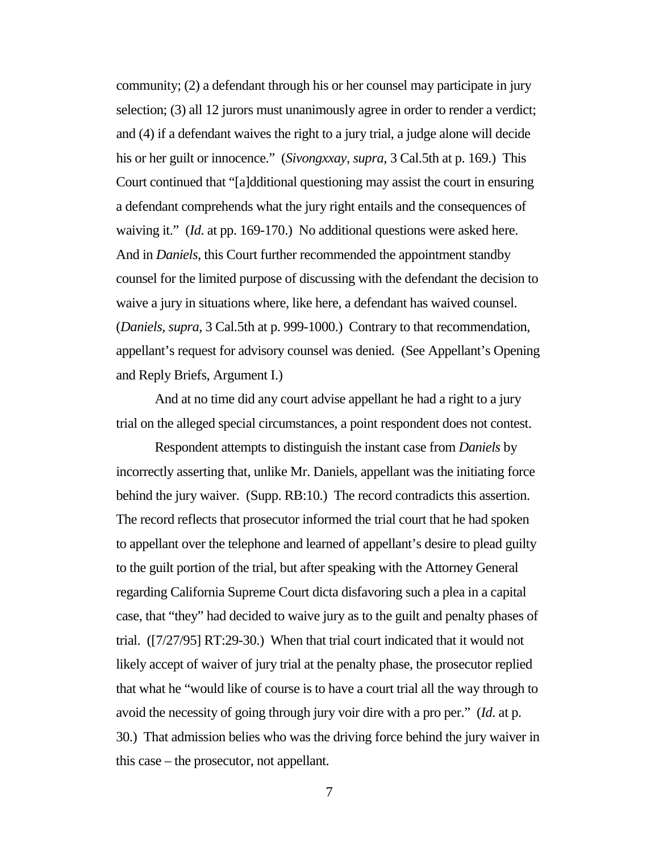community; (2) a defendant through his or her counsel may participate in jury selection; (3) all 12 jurors must unanimously agree in order to render a verdict; and (4) if a defendant waives the right to a jury trial, a judge alone will decide his or her guilt or innocence." (*Sivongxxay*, *supra*, 3 Cal.5th at p. 169.) This Court continued that "[a]dditional questioning may assist the court in ensuring a defendant comprehends what the jury right entails and the consequences of waiving it." (*Id*. at pp. 169-170.) No additional questions were asked here. And in *Daniels*, this Court further recommended the appointment standby counsel for the limited purpose of discussing with the defendant the decision to waive a jury in situations where, like here, a defendant has waived counsel. (*Daniels, supra*, 3 Cal.5th at p. 999-1000.) Contrary to that recommendation, appellant's request for advisory counsel was denied. (See Appellant's Opening and Reply Briefs, Argument I.)

And at no time did any court advise appellant he had a right to a jury trial on the alleged special circumstances, a point respondent does not contest.

Respondent attempts to distinguish the instant case from *Daniels* by incorrectly asserting that, unlike Mr. Daniels, appellant was the initiating force behind the jury waiver. (Supp. RB:10.) The record contradicts this assertion. The record reflects that prosecutor informed the trial court that he had spoken to appellant over the telephone and learned of appellant's desire to plead guilty to the guilt portion of the trial, but after speaking with the Attorney General regarding California Supreme Court dicta disfavoring such a plea in a capital case, that "they" had decided to waive jury as to the guilt and penalty phases of trial. ([7/27/95] RT:29-30.) When that trial court indicated that it would not likely accept of waiver of jury trial at the penalty phase, the prosecutor replied that what he "would like of course is to have a court trial all the way through to avoid the necessity of going through jury voir dire with a pro per." (*Id*. at p. 30.) That admission belies who was the driving force behind the jury waiver in this case – the prosecutor, not appellant.

7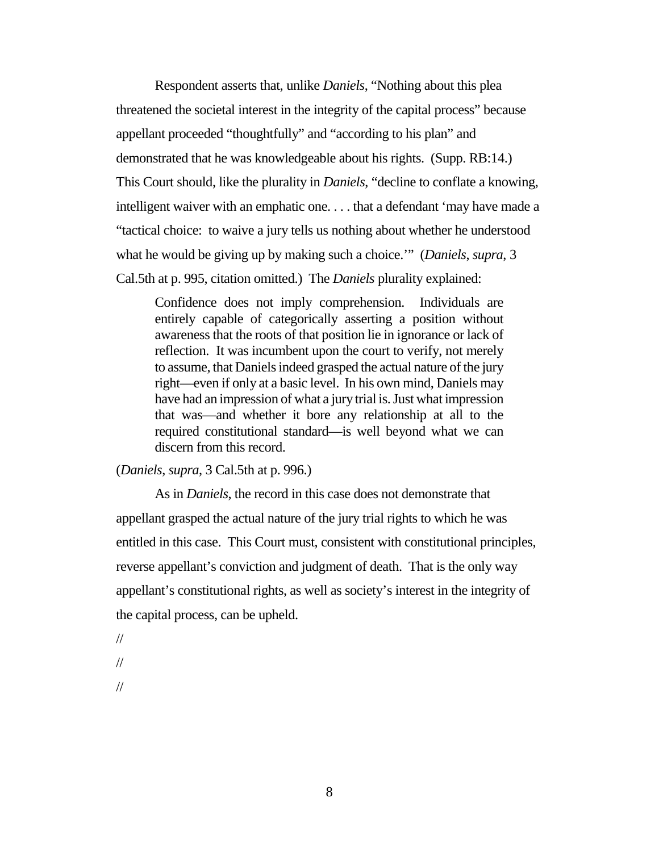Respondent asserts that, unlike *Daniels*, "Nothing about this plea threatened the societal interest in the integrity of the capital process" because appellant proceeded "thoughtfully" and "according to his plan" and demonstrated that he was knowledgeable about his rights. (Supp. RB:14.) This Court should, like the plurality in *Daniels*, "decline to conflate a knowing, intelligent waiver with an emphatic one. . . . that a defendant 'may have made a "tactical choice: to waive a jury tells us nothing about whether he understood what he would be giving up by making such a choice.'" (*Daniels*, *supra*, 3 Cal.5th at p. 995, citation omitted.) The *Daniels* plurality explained:

Confidence does not imply comprehension. Individuals are entirely capable of categorically asserting a position without awareness that the roots of that position lie in ignorance or lack of reflection. It was incumbent upon the court to verify, not merely to assume, that Daniels indeed grasped the actual nature of the jury right—even if only at a basic level. In his own mind, Daniels may have had an impression of what a jury trial is. Just what impression that was—and whether it bore any relationship at all to the required constitutional standard—is well beyond what we can discern from this record.

(*Daniels*, *supra*, 3 Cal.5th at p. 996.)

As in *Daniels*, the record in this case does not demonstrate that appellant grasped the actual nature of the jury trial rights to which he was entitled in this case. This Court must, consistent with constitutional principles, reverse appellant's conviction and judgment of death. That is the only way appellant's constitutional rights, as well as society's interest in the integrity of the capital process, can be upheld.

//

//

//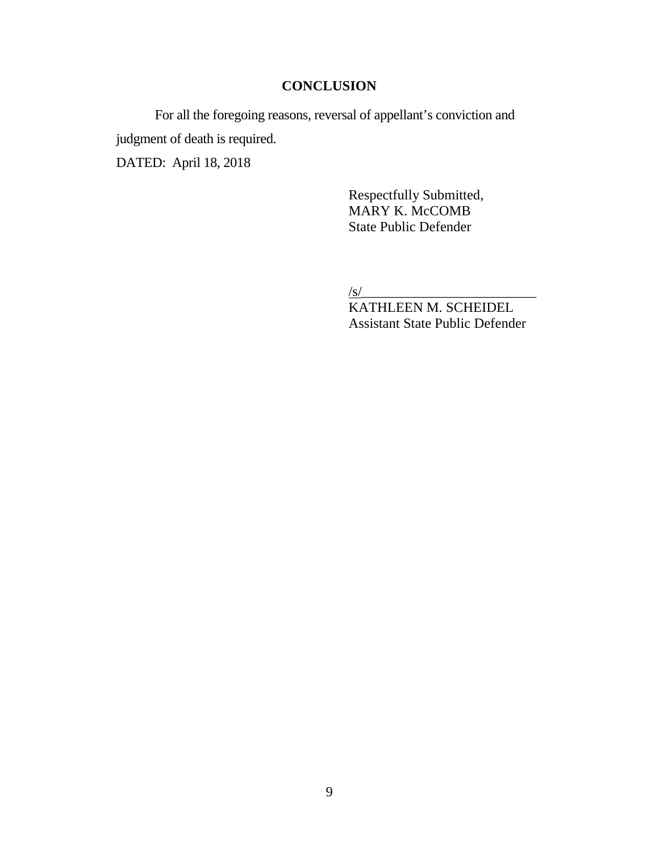### **CONCLUSION**

<span id="page-8-0"></span>For all the foregoing reasons, reversal of appellant's conviction and judgment of death is required. DATED: April 18, 2018

> Respectfully Submitted, MARY K. McCOMB State Public Defender

 $\frac{1}{s}$ 

KATHLEEN M. SCHEIDEL Assistant State Public Defender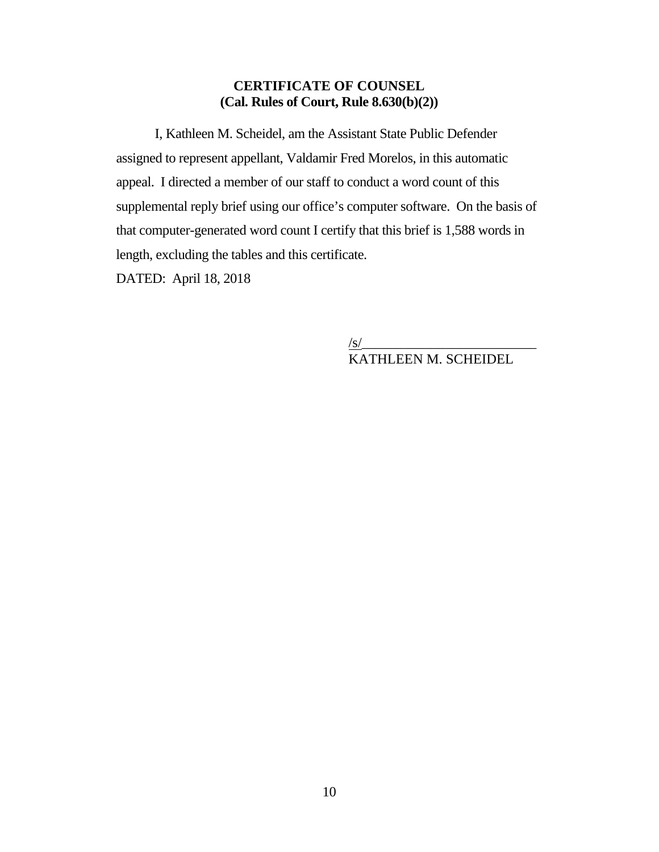### <span id="page-9-0"></span>**CERTIFICATE OF COUNSEL (Cal. Rules of Court, Rule 8.630(b)(2))**

I, Kathleen M. Scheidel, am the Assistant State Public Defender assigned to represent appellant, Valdamir Fred Morelos, in this automatic appeal. I directed a member of our staff to conduct a word count of this supplemental reply brief using our office's computer software. On the basis of that computer-generated word count I certify that this brief is 1,588 words in length, excluding the tables and this certificate.

DATED: April 18, 2018

/s/\_\_\_\_\_\_\_\_\_\_\_\_\_\_\_\_\_\_\_\_\_\_\_\_\_ KATHLEEN M. SCHEIDEL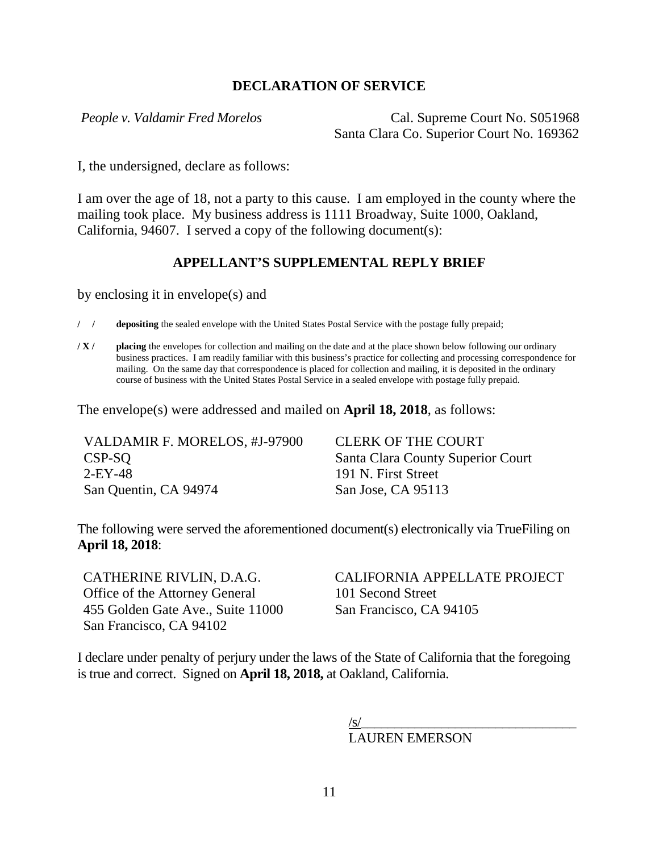### <span id="page-10-0"></span>**DECLARATION OF SERVICE**

*People v. Valdamir Fred Morelos* Cal. Supreme Court No. S051968 Santa Clara Co. Superior Court No. 169362

I, the undersigned, declare as follows:

I am over the age of 18, not a party to this cause. I am employed in the county where the mailing took place. My business address is 1111 Broadway, Suite 1000, Oakland, California, 94607. I served a copy of the following document(s):

### **APPELLANT'S SUPPLEMENTAL REPLY BRIEF**

by enclosing it in envelope(s) and

**/ / depositing** the sealed envelope with the United States Postal Service with the postage fully prepaid;

**/ X / placing** the envelopes for collection and mailing on the date and at the place shown below following our ordinary business practices. I am readily familiar with this business's practice for collecting and processing correspondence for mailing. On the same day that correspondence is placed for collection and mailing, it is deposited in the ordinary course of business with the United States Postal Service in a sealed envelope with postage fully prepaid.

The envelope(s) were addressed and mailed on **April 18, 2018**, as follows:

| VALDAMIR F. MORELOS, #J-97900 | <b>CLERK OF THE COURT</b>         |
|-------------------------------|-----------------------------------|
| CSP-SO                        | Santa Clara County Superior Court |
| $2$ -EY-48                    | 191 N. First Street               |
| San Quentin, CA 94974         | San Jose, CA 95113                |

The following were served the aforementioned document(s) electronically via TrueFiling on **April 18, 2018**:

CATHERINE RIVLIN, D.A.G. Office of the Attorney General 455 Golden Gate Ave., Suite 11000 San Francisco, CA 94102

CALIFORNIA APPELLATE PROJECT 101 Second Street San Francisco, CA 94105

I declare under penalty of perjury under the laws of the State of California that the foregoing is true and correct. Signed on **April 18, 2018,** at Oakland, California.

> $/$ s/ $\frac{1}{2}$ LAUREN EMERSON